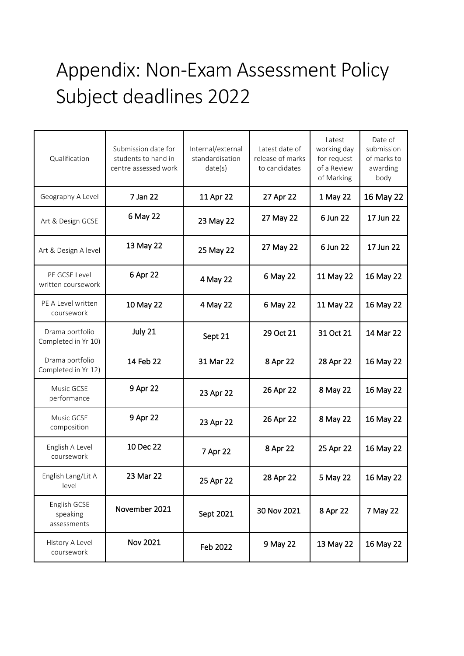## Appendix: Non-Exam Assessment Policy Subject deadlines 2022

| Qualification                           | Submission date for<br>students to hand in<br>centre assessed work | Internal/external<br>standardisation<br>date(s) | Latest date of<br>release of marks<br>to candidates | Latest<br>working day<br>for request<br>of a Review<br>of Marking | Date of<br>submission<br>of marks to<br>awarding<br>body |
|-----------------------------------------|--------------------------------------------------------------------|-------------------------------------------------|-----------------------------------------------------|-------------------------------------------------------------------|----------------------------------------------------------|
| Geography A Level                       | 7 Jan 22                                                           | 11 Apr 22                                       | 27 Apr 22                                           | 1 May 22                                                          | 16 May 22                                                |
| Art & Design GCSE                       | 6 May 22                                                           | 23 May 22                                       | 27 May 22                                           | 6 Jun 22                                                          | 17 Jun 22                                                |
| Art & Design A level                    | 13 May 22<br>25 May 22                                             |                                                 | 27 May 22                                           | 6 Jun 22                                                          | 17 Jun 22                                                |
| PE GCSE Level<br>written coursework     | 6 Apr 22                                                           | 4 May 22                                        | 6 May 22                                            | 11 May 22                                                         | 16 May 22                                                |
| PE A Level written<br>coursework        | 10 May 22                                                          | 4 May 22                                        | 6 May 22                                            | 11 May 22                                                         | 16 May 22                                                |
| Drama portfolio<br>Completed in Yr 10)  | July 21                                                            | Sept 21                                         | 29 Oct 21                                           | 31 Oct 21                                                         | 14 Mar 22                                                |
| Drama portfolio<br>Completed in Yr 12)  | 14 Feb 22                                                          | 31 Mar 22                                       | 8 Apr 22                                            | 28 Apr 22                                                         | 16 May 22                                                |
| Music GCSE<br>performance               | 9 Apr 22                                                           | 23 Apr 22                                       | 26 Apr 22                                           | 8 May 22                                                          | 16 May 22                                                |
| Music GCSE<br>composition               | 9 Apr 22                                                           | 23 Apr 22                                       | 26 Apr 22                                           | 8 May 22                                                          | 16 May 22                                                |
| English A Level<br>coursework           | 10 Dec 22                                                          | 7 Apr 22                                        | 8 Apr 22                                            | 25 Apr 22                                                         | 16 May 22                                                |
| English Lang/Lit A<br>level             | 23 Mar 22                                                          | 25 Apr 22                                       | 28 Apr 22                                           | 5 May 22                                                          | 16 May 22                                                |
| English GCSE<br>speaking<br>assessments | November 2021                                                      | Sept 2021                                       | 30 Nov 2021                                         | 8 Apr 22                                                          | 7 May 22                                                 |
| History A Level<br>coursework           | Nov 2021                                                           | Feb 2022                                        | 9 May 22                                            | 13 May 22                                                         | 16 May 22                                                |